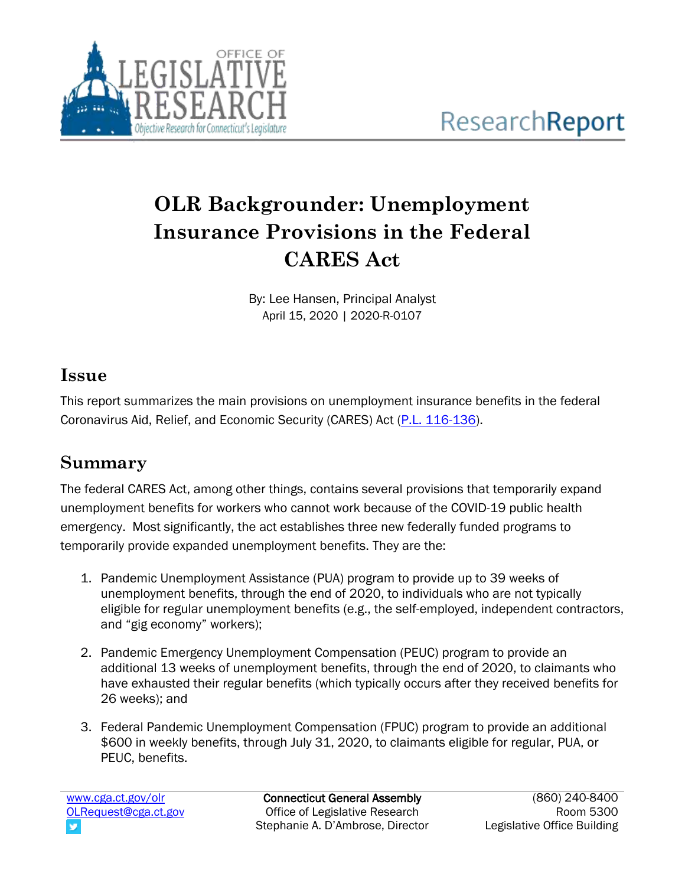

# **OLR Backgrounder: Unemployment Insurance Provisions in the Federal CARES Act**

By: Lee Hansen, Principal Analyst April 15, 2020 | 2020-R-0107

## **Issue**

This report summarizes the main provisions on unemployment insurance benefits in the federal Coronavirus Aid, Relief, and Economic Security (CARES) Act [\(P.L. 116-136\)](https://www.congress.gov/bill/116th-congress/house-bill/748/text?q=%7B%22search%22%3A%5B%22cite%3APL116-136%22%5D%7D&r=1&s=1).

## **Summary**

The federal CARES Act, among other things, contains several provisions that temporarily expand unemployment benefits for workers who cannot work because of the COVID-19 public health emergency. Most significantly, the act establishes three new federally funded programs to temporarily provide expanded unemployment benefits. They are the:

- 1. Pandemic Unemployment Assistance (PUA) program to provide up to 39 weeks of unemployment benefits, through the end of 2020, to individuals who are not typically eligible for regular unemployment benefits (e.g., the self-employed, independent contractors, and "gig economy" workers);
- 2. Pandemic Emergency Unemployment Compensation (PEUC) program to provide an additional 13 weeks of unemployment benefits, through the end of 2020, to claimants who have exhausted their regular benefits (which typically occurs after they received benefits for 26 weeks); and
- 3. Federal Pandemic Unemployment Compensation (FPUC) program to provide an additional \$600 in weekly benefits, through July 31, 2020, to claimants eligible for regular, PUA, or PEUC, benefits.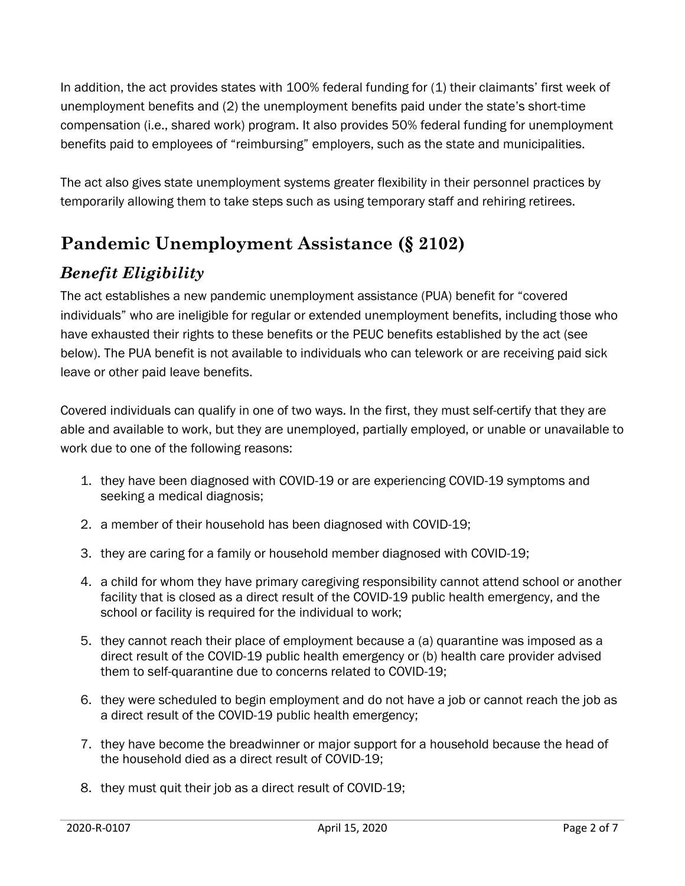In addition, the act provides states with 100% federal funding for (1) their claimants' first week of unemployment benefits and (2) the unemployment benefits paid under the state's short-time compensation (i.e., shared work) program. It also provides 50% federal funding for unemployment benefits paid to employees of "reimbursing" employers, such as the state and municipalities.

The act also gives state unemployment systems greater flexibility in their personnel practices by temporarily allowing them to take steps such as using temporary staff and rehiring retirees.

## **Pandemic Unemployment Assistance (§ 2102)**

## *Benefit Eligibility*

The act establishes a new pandemic unemployment assistance (PUA) benefit for "covered individuals" who are ineligible for regular or extended unemployment benefits, including those who have exhausted their rights to these benefits or the PEUC benefits established by the act (see below). The PUA benefit is not available to individuals who can telework or are receiving paid sick leave or other paid leave benefits.

Covered individuals can qualify in one of two ways. In the first, they must self-certify that they are able and available to work, but they are unemployed, partially employed, or unable or unavailable to work due to one of the following reasons:

- 1. they have been diagnosed with COVID-19 or are experiencing COVID-19 symptoms and seeking a medical diagnosis;
- 2. a member of their household has been diagnosed with COVID-19;
- 3. they are caring for a family or household member diagnosed with COVID-19;
- 4. a child for whom they have primary caregiving responsibility cannot attend school or another facility that is closed as a direct result of the COVID-19 public health emergency, and the school or facility is required for the individual to work;
- 5. they cannot reach their place of employment because a (a) quarantine was imposed as a direct result of the COVID-19 public health emergency or (b) health care provider advised them to self-quarantine due to concerns related to COVID-19;
- 6. they were scheduled to begin employment and do not have a job or cannot reach the job as a direct result of the COVID-19 public health emergency;
- 7. they have become the breadwinner or major support for a household because the head of the household died as a direct result of COVID-19;
- 8. they must quit their job as a direct result of COVID-19;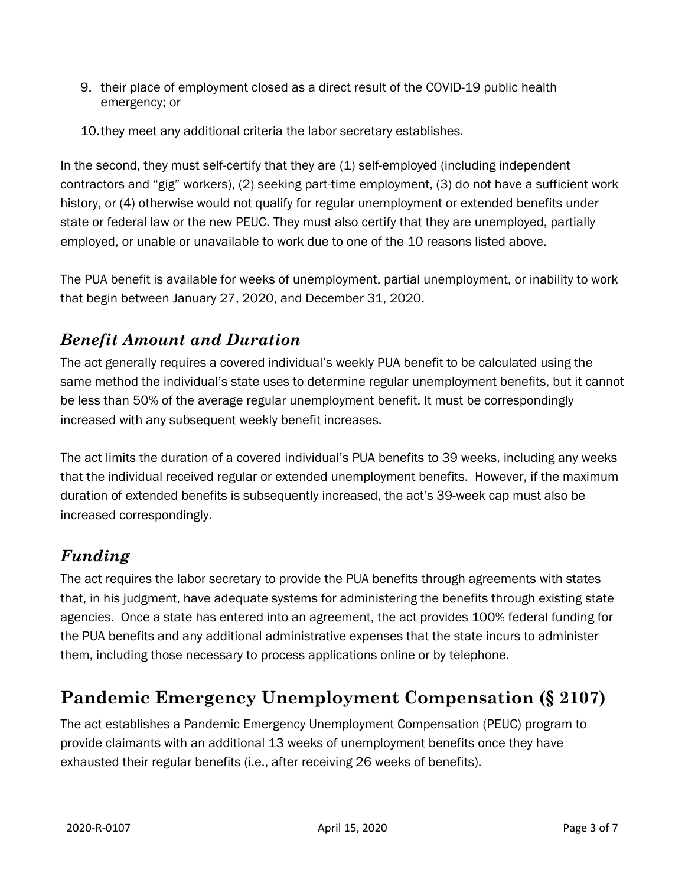- 9. their place of employment closed as a direct result of the COVID-19 public health emergency; or
- 10.they meet any additional criteria the labor secretary establishes.

In the second, they must self-certify that they are (1) self-employed (including independent contractors and "gig" workers), (2) seeking part-time employment, (3) do not have a sufficient work history, or (4) otherwise would not qualify for regular unemployment or extended benefits under state or federal law or the new PEUC. They must also certify that they are unemployed, partially employed, or unable or unavailable to work due to one of the 10 reasons listed above.

The PUA benefit is available for weeks of unemployment, partial unemployment, or inability to work that begin between January 27, 2020, and December 31, 2020.

#### *Benefit Amount and Duration*

The act generally requires a covered individual's weekly PUA benefit to be calculated using the same method the individual's state uses to determine regular unemployment benefits, but it cannot be less than 50% of the average regular unemployment benefit. It must be correspondingly increased with any subsequent weekly benefit increases.

The act limits the duration of a covered individual's PUA benefits to 39 weeks, including any weeks that the individual received regular or extended unemployment benefits. However, if the maximum duration of extended benefits is subsequently increased, the act's 39-week cap must also be increased correspondingly.

## *Funding*

The act requires the labor secretary to provide the PUA benefits through agreements with states that, in his judgment, have adequate systems for administering the benefits through existing state agencies. Once a state has entered into an agreement, the act provides 100% federal funding for the PUA benefits and any additional administrative expenses that the state incurs to administer them, including those necessary to process applications online or by telephone.

## **Pandemic Emergency Unemployment Compensation (§ 2107)**

The act establishes a Pandemic Emergency Unemployment Compensation (PEUC) program to provide claimants with an additional 13 weeks of unemployment benefits once they have exhausted their regular benefits (i.e., after receiving 26 weeks of benefits).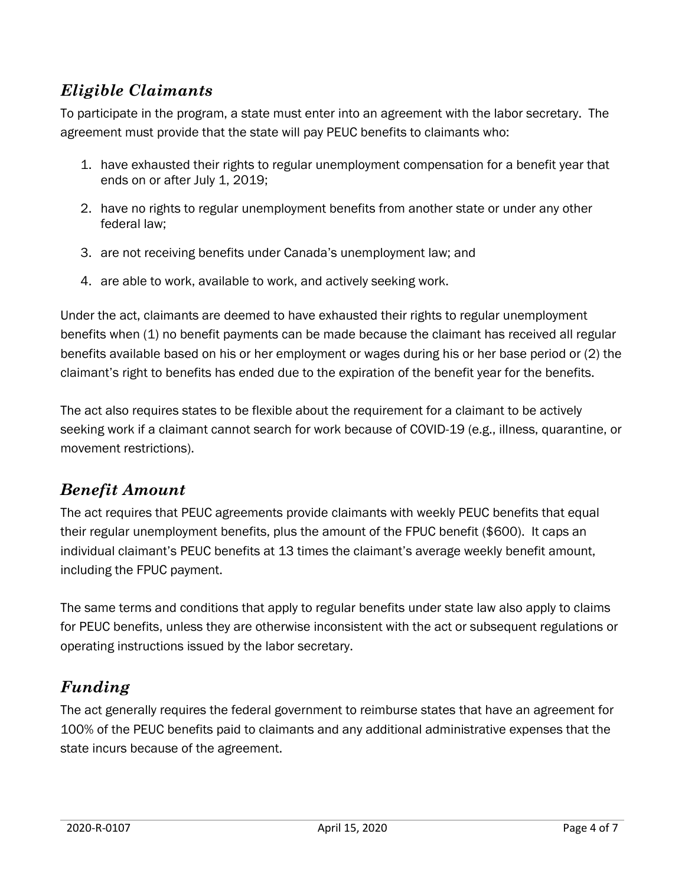#### *Eligible Claimants*

To participate in the program, a state must enter into an agreement with the labor secretary. The agreement must provide that the state will pay PEUC benefits to claimants who:

- 1. have exhausted their rights to regular unemployment compensation for a benefit year that ends on or after July 1, 2019;
- 2. have no rights to regular unemployment benefits from another state or under any other federal law;
- 3. are not receiving benefits under Canada's unemployment law; and
- 4. are able to work, available to work, and actively seeking work.

Under the act, claimants are deemed to have exhausted their rights to regular unemployment benefits when (1) no benefit payments can be made because the claimant has received all regular benefits available based on his or her employment or wages during his or her base period or (2) the claimant's right to benefits has ended due to the expiration of the benefit year for the benefits.

The act also requires states to be flexible about the requirement for a claimant to be actively seeking work if a claimant cannot search for work because of COVID-19 (e.g., illness, quarantine, or movement restrictions).

#### *Benefit Amount*

The act requires that PEUC agreements provide claimants with weekly PEUC benefits that equal their regular unemployment benefits, plus the amount of the FPUC benefit (\$600). It caps an individual claimant's PEUC benefits at 13 times the claimant's average weekly benefit amount, including the FPUC payment.

The same terms and conditions that apply to regular benefits under state law also apply to claims for PEUC benefits, unless they are otherwise inconsistent with the act or subsequent regulations or operating instructions issued by the labor secretary.

## *Funding*

The act generally requires the federal government to reimburse states that have an agreement for 100% of the PEUC benefits paid to claimants and any additional administrative expenses that the state incurs because of the agreement.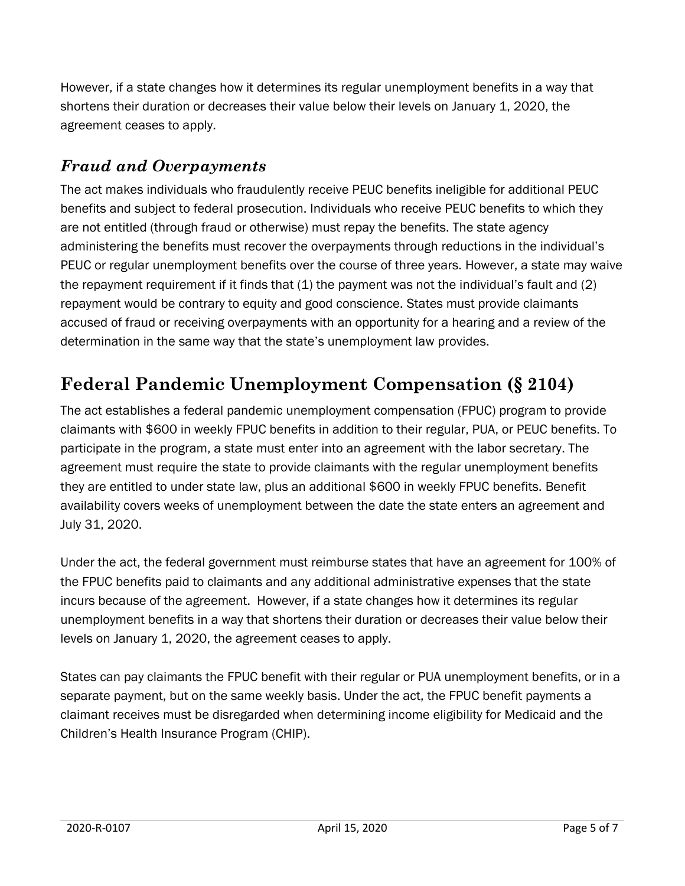However, if a state changes how it determines its regular unemployment benefits in a way that shortens their duration or decreases their value below their levels on January 1, 2020, the agreement ceases to apply.

#### *Fraud and Overpayments*

The act makes individuals who fraudulently receive PEUC benefits ineligible for additional PEUC benefits and subject to federal prosecution. Individuals who receive PEUC benefits to which they are not entitled (through fraud or otherwise) must repay the benefits. The state agency administering the benefits must recover the overpayments through reductions in the individual's PEUC or regular unemployment benefits over the course of three years. However, a state may waive the repayment requirement if it finds that  $(1)$  the payment was not the individual's fault and  $(2)$ repayment would be contrary to equity and good conscience. States must provide claimants accused of fraud or receiving overpayments with an opportunity for a hearing and a review of the determination in the same way that the state's unemployment law provides.

# **Federal Pandemic Unemployment Compensation (§ 2104)**

The act establishes a federal pandemic unemployment compensation (FPUC) program to provide claimants with \$600 in weekly FPUC benefits in addition to their regular, PUA, or PEUC benefits. To participate in the program, a state must enter into an agreement with the labor secretary. The agreement must require the state to provide claimants with the regular unemployment benefits they are entitled to under state law, plus an additional \$600 in weekly FPUC benefits. Benefit availability covers weeks of unemployment between the date the state enters an agreement and July 31, 2020.

Under the act, the federal government must reimburse states that have an agreement for 100% of the FPUC benefits paid to claimants and any additional administrative expenses that the state incurs because of the agreement. However, if a state changes how it determines its regular unemployment benefits in a way that shortens their duration or decreases their value below their levels on January 1, 2020, the agreement ceases to apply.

States can pay claimants the FPUC benefit with their regular or PUA unemployment benefits, or in a separate payment, but on the same weekly basis. Under the act, the FPUC benefit payments a claimant receives must be disregarded when determining income eligibility for Medicaid and the Children's Health Insurance Program (CHIP).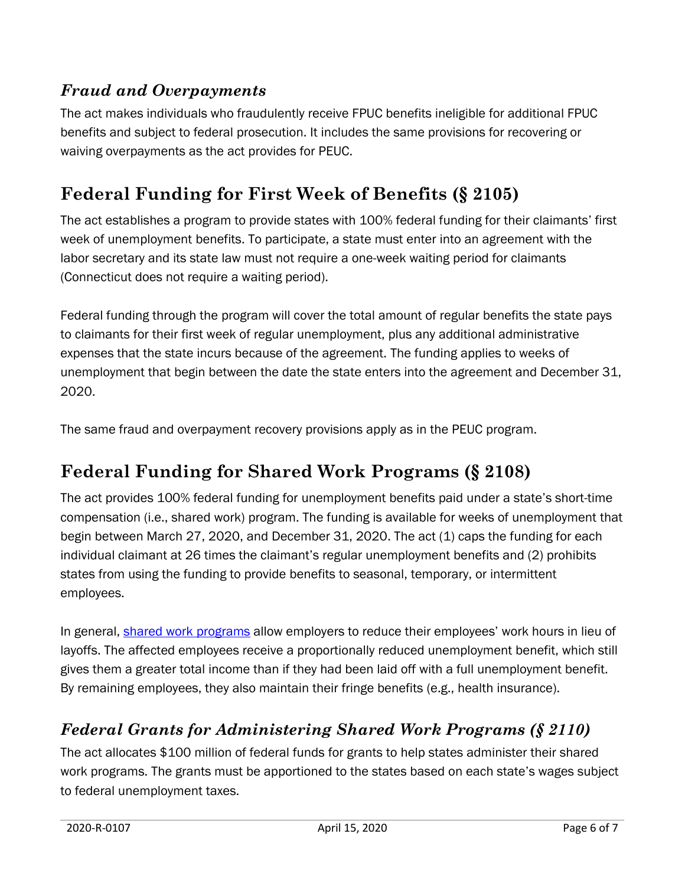#### *Fraud and Overpayments*

The act makes individuals who fraudulently receive FPUC benefits ineligible for additional FPUC benefits and subject to federal prosecution. It includes the same provisions for recovering or waiving overpayments as the act provides for PEUC.

## **Federal Funding for First Week of Benefits (§ 2105)**

The act establishes a program to provide states with 100% federal funding for their claimants' first week of unemployment benefits. To participate, a state must enter into an agreement with the labor secretary and its state law must not require a one-week waiting period for claimants (Connecticut does not require a waiting period).

Federal funding through the program will cover the total amount of regular benefits the state pays to claimants for their first week of regular unemployment, plus any additional administrative expenses that the state incurs because of the agreement. The funding applies to weeks of unemployment that begin between the date the state enters into the agreement and December 31, 2020.

The same fraud and overpayment recovery provisions apply as in the PEUC program.

## **Federal Funding for Shared Work Programs (§ 2108)**

The act provides 100% federal funding for unemployment benefits paid under a state's short-time compensation (i.e., shared work) program. The funding is available for weeks of unemployment that begin between March 27, 2020, and December 31, 2020. The act (1) caps the funding for each individual claimant at 26 times the claimant's regular unemployment benefits and (2) prohibits states from using the funding to provide benefits to seasonal, temporary, or intermittent employees.

In general, [shared work programs](https://www.ctdol.state.ct.us/progsupt/bussrvce/shared_work/) allow employers to reduce their employees' work hours in lieu of layoffs. The affected employees receive a proportionally reduced unemployment benefit, which still gives them a greater total income than if they had been laid off with a full unemployment benefit. By remaining employees, they also maintain their fringe benefits (e.g., health insurance).

#### *Federal Grants for Administering Shared Work Programs (§ 2110)*

The act allocates \$100 million of federal funds for grants to help states administer their shared work programs. The grants must be apportioned to the states based on each state's wages subject to federal unemployment taxes.